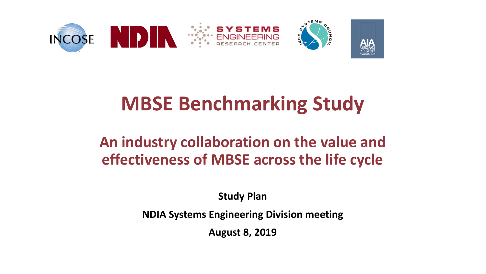

## **MBSE Benchmarking Study**

## **An industry collaboration on the value and effectiveness of MBSE across the life cycle**

**Study Plan**

**NDIA Systems Engineering Division meeting**

**August 8, 2019**